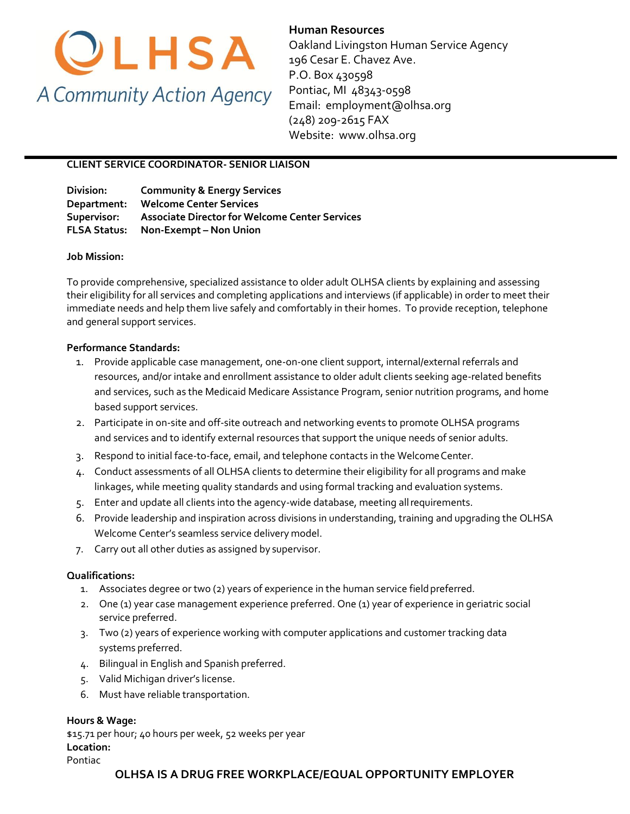

**Human Resources**  Oakland Livingston Human Service Agency 196 Cesar E. Chavez Ave. P.O. Box 430598 Pontiac, MI 48343-0598 Email: employment@olhsa.org (248) 209-2615 FAX Website: www.olhsa.org

### **CLIENT SERVICE COORDINATOR- SENIOR LIAISON**

**Division: Community & Energy Services Department: Welcome Center Services Supervisor: Associate Director for Welcome Center Services FLSA Status: Non-Exempt – Non Union**

#### **Job Mission:**

To provide comprehensive, specialized assistance to older adult OLHSA clients by explaining and assessing their eligibility for all services and completing applications and interviews (if applicable) in order to meet their immediate needs and help them live safely and comfortably in their homes. To provide reception, telephone and general support services.

#### **Performance Standards:**

- 1. Provide applicable case management, one-on-one client support, internal/external referrals and resources, and/or intake and enrollment assistance to older adult clients seeking age-related benefits and services, such as the Medicaid Medicare Assistance Program, senior nutrition programs, and home based support services.
- 2. Participate in on-site and off-site outreach and networking events to promote OLHSA programs and services and to identify external resources that support the unique needs of senior adults.
- 3. Respond to initial face-to-face, email, and telephone contacts in the WelcomeCenter.
- 4. Conduct assessments of all OLHSA clients to determine their eligibility for all programs and make linkages, while meeting quality standards and using formal tracking and evaluation systems.
- 5. Enter and update all clients into the agency-wide database, meeting allrequirements.
- 6. Provide leadership and inspiration across divisions in understanding, training and upgrading the OLHSA Welcome Center's seamless service delivery model.
- 7. Carry out all other duties as assigned by supervisor.

#### **Qualifications:**

- 1. Associates degree or two (2) years of experience in the human service fieldpreferred.
- 2. One (1) year case management experience preferred. One (1) year of experience in geriatric social service preferred.
- 3. Two (2) years of experience working with computer applications and customer tracking data systems preferred.
- 4. Bilingual in English and Spanish preferred.
- 5. Valid Michigan driver's license.
- 6. Must have reliable transportation.

#### **Hours & Wage:**

\$15.71 per hour; 40 hours per week, 52 weeks per year **Location:** Pontiac

## **OLHSA IS A DRUG FREE WORKPLACE/EQUAL OPPORTUNITY EMPLOYER**